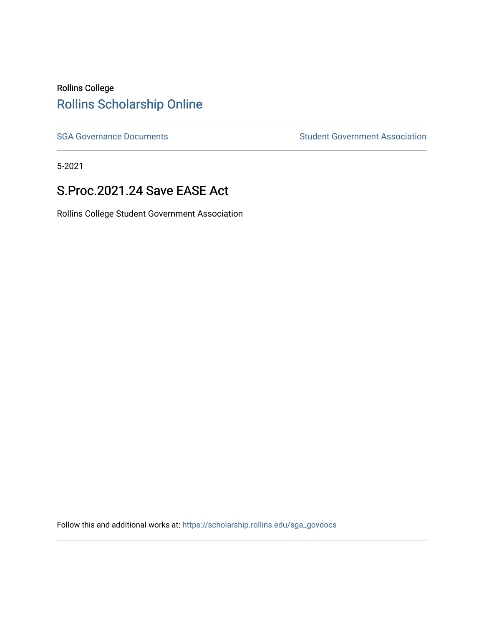### Rollins College [Rollins Scholarship Online](https://scholarship.rollins.edu/)

[SGA Governance Documents](https://scholarship.rollins.edu/sga_govdocs) SGA Governance Documents SGA Government Association

5-2021

#### S.Proc.2021.24 Save EASE Act

Rollins College Student Government Association

Follow this and additional works at: [https://scholarship.rollins.edu/sga\\_govdocs](https://scholarship.rollins.edu/sga_govdocs?utm_source=scholarship.rollins.edu%2Fsga_govdocs%2F5&utm_medium=PDF&utm_campaign=PDFCoverPages)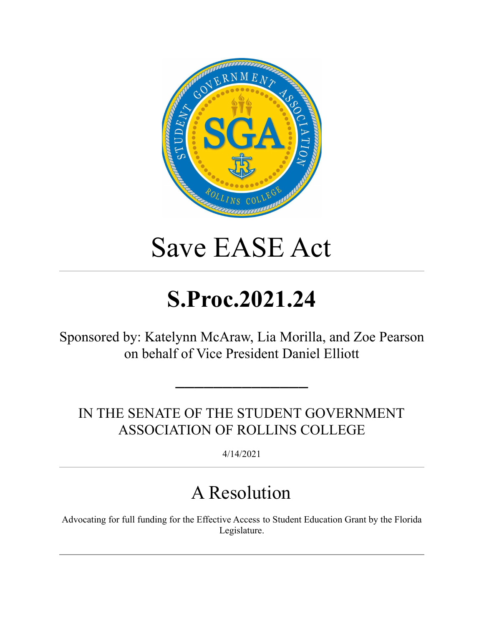

# Save EASE Act

# **S.Proc.2021.24**

Sponsored by: Katelynn McAraw, Lia Morilla, and Zoe Pearson on behalf of Vice President Daniel Elliott

IN THE SENATE OF THE STUDENT GOVERNMENT ASSOCIATION OF ROLLINS COLLEGE

━━━━━━━━━━━━━━

4/14/2021

## A Resolution

Advocating for full funding for the Effective Access to Student Education Grant by the Florida Legislature.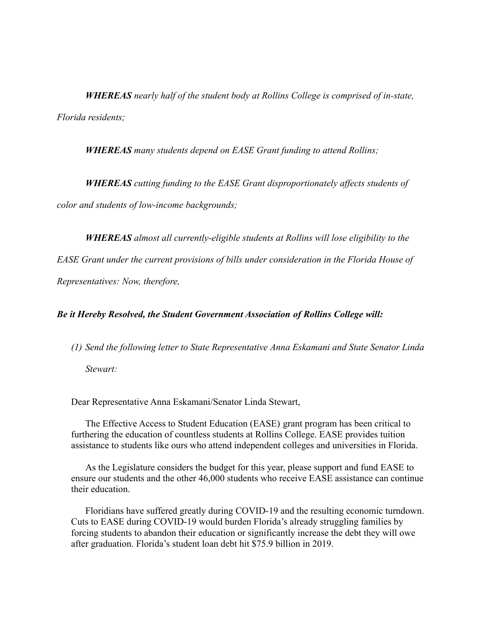*WHEREAS nearly half of the student body at Rollins College is comprised of in-state, Florida residents;*

*WHEREAS many students depend on EASE Grant funding to attend Rollins;*

*WHEREAS cutting funding to the EASE Grant disproportionately affects students of color and students of low-income backgrounds;*

*WHEREAS almost all currently-eligible students at Rollins will lose eligibility to the*

*EASE Grant under the current provisions of bills under consideration in the Florida House of*

*Representatives: Now, therefore,*

#### *Be it Hereby Resolved, the Student Government Association of Rollins College will:*

*(1) Send the following letter to State Representative Anna Eskamani and State Senator Linda*

*Stewart:*

Dear Representative Anna Eskamani/Senator Linda Stewart,

The Effective Access to Student Education (EASE) grant program has been critical to furthering the education of countless students at Rollins College. EASE provides tuition assistance to students like ours who attend independent colleges and universities in Florida.

As the Legislature considers the budget for this year, please support and fund EASE to ensure our students and the other 46,000 students who receive EASE assistance can continue their education.

Floridians have suffered greatly during COVID-19 and the resulting economic turndown. Cuts to EASE during COVID-19 would burden Florida's already struggling families by forcing students to abandon their education or significantly increase the debt they will owe after graduation. Florida's student loan debt hit \$75.9 billion in 2019.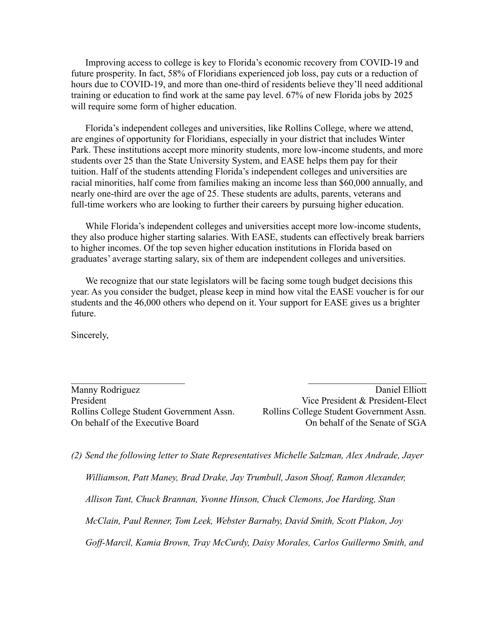Improving access to college is key to Florida's economic recovery from COVID-19 and future prosperity. In fact, 58% of Floridians experienced job loss, pay cuts or a reduction of hours due to COVID-19, and more than one-third of residents believe they'll need additional training or education to find work at the same pay level. 67% of new Florida jobs by 2025 will require some form of higher education.

Florida's independent colleges and universities, like Rollins College, where we attend, are engines of opportunity for Floridians, especially in your district that includes Winter Park. These institutions accept more minority students, more low-income students, and more students over 25 than the State University System, and EASE helps them pay for their tuition. Half of the students attending Florida's independent colleges and universities are racial minorities, half come from families making an income less than \$60,000 annually, and nearly one-third are over the age of 25. These students are adults, parents, veterans and full-time workers who are looking to further their careers by pursuing higher education.

While Florida's independent colleges and universities accept more low-income students, they also produce higher starting salaries. With EASE, students can effectively break barriers to higher incomes. Of the top seven higher education institutions in Florida based on graduates' average starting salary, six of them are independent colleges and universities.

We recognize that our state legislators will be facing some tough budget decisions this year. As you consider the budget, please keep in mind how vital the EASE voucher is for our students and the 46,000 others who depend on it. Your support for EASE gives us a brighter future.

 $\mathcal{L}_\text{max}$  , and the contract of the contract of the contract of the contract of the contract of the contract of

Sincerely,

Manny Rodriguez Daniel Elliott President **President President** *President President President President President President President President President President President President President Pres* Rollins College Student Government Assn. Rollins College Student Government Assn. On behalf of the Executive Board Contract Connect Connect Connect Connect Connect Connect Connect Connect Connect Connect Connect Connect Connect Connect Connect Connect Connect Connect Connect Connect Connect Connect Conn

*(2) Send the following letter to State Representatives Michelle Salzman, Alex Andrade, Jayer Williamson, Patt Maney, Brad Drake, Jay Trumbull, Jason Shoaf, Ramon Alexander, Allison Tant, Chuck Brannan, Yvonne Hinson, Chuck Clemons, Joe Harding, Stan McClain, Paul Renner, Tom Leek, Webster Barnaby, David Smith, Scott Plakon, Joy Goff-Marcil, Kamia Brown, Tray McCurdy, Daisy Morales, Carlos Guillermo Smith, and*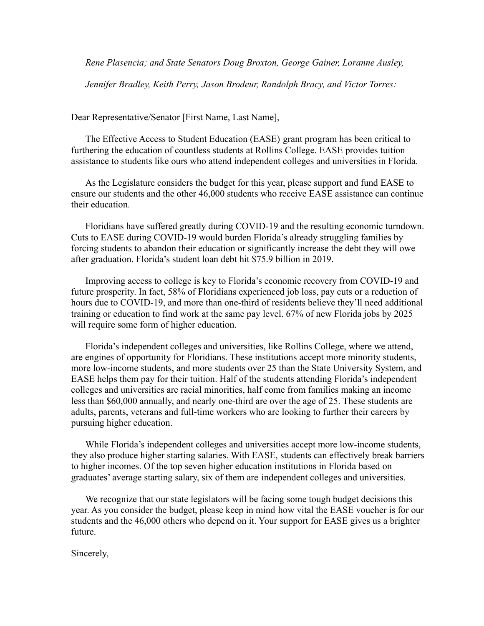*Rene Plasencia; and State Senators Doug Broxton, George Gainer, Loranne Ausley,*

*Jennifer Bradley, Keith Perry, Jason Brodeur, Randolph Bracy, and Victor Torres:*

Dear Representative/Senator [First Name, Last Name],

The Effective Access to Student Education (EASE) grant program has been critical to furthering the education of countless students at Rollins College. EASE provides tuition assistance to students like ours who attend independent colleges and universities in Florida.

As the Legislature considers the budget for this year, please support and fund EASE to ensure our students and the other 46,000 students who receive EASE assistance can continue their education.

Floridians have suffered greatly during COVID-19 and the resulting economic turndown. Cuts to EASE during COVID-19 would burden Florida's already struggling families by forcing students to abandon their education or significantly increase the debt they will owe after graduation. Florida's student loan debt hit \$75.9 billion in 2019.

Improving access to college is key to Florida's economic recovery from COVID-19 and future prosperity. In fact, 58% of Floridians experienced job loss, pay cuts or a reduction of hours due to COVID-19, and more than one-third of residents believe they'll need additional training or education to find work at the same pay level. 67% of new Florida jobs by 2025 will require some form of higher education.

Florida's independent colleges and universities, like Rollins College, where we attend, are engines of opportunity for Floridians. These institutions accept more minority students, more low-income students, and more students over 25 than the State University System, and EASE helps them pay for their tuition. Half of the students attending Florida's independent colleges and universities are racial minorities, half come from families making an income less than \$60,000 annually, and nearly one-third are over the age of 25. These students are adults, parents, veterans and full-time workers who are looking to further their careers by pursuing higher education.

While Florida's independent colleges and universities accept more low-income students, they also produce higher starting salaries. With EASE, students can effectively break barriers to higher incomes. Of the top seven higher education institutions in Florida based on graduates' average starting salary, six of them are independent colleges and universities.

We recognize that our state legislators will be facing some tough budget decisions this year. As you consider the budget, please keep in mind how vital the EASE voucher is for our students and the 46,000 others who depend on it. Your support for EASE gives us a brighter future.

Sincerely,